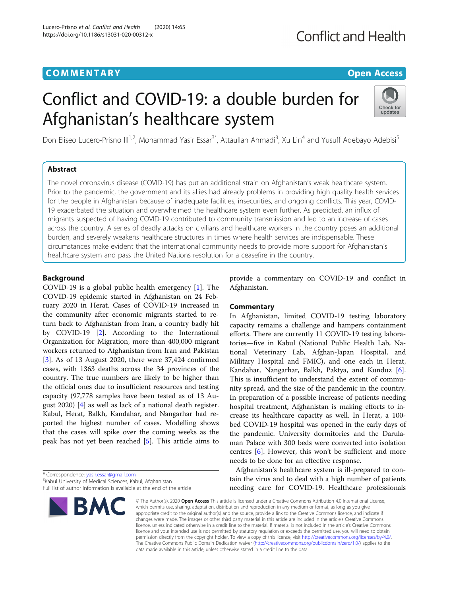# **COMMENTARY COMMENTARY COMMENTARY**

Lucero-Prisno et al. Conflict and Health (2020) 14:65

https://doi.org/10.1186/s13031-020-00312-x

# **Conflict and Health**

# Conflict and COVID-19: a double burden for Afghanistan's healthcare system



Don Eliseo Lucero-Prisno III<sup>1,2</sup>, Mohammad Yasir Essar<sup>3\*</sup>, Attaullah Ahmadi<sup>3</sup>, Xu Lin<sup>4</sup> and Yusuff Adebayo Adebisi<sup>5</sup>

# Abstract

The novel coronavirus disease (COVID-19) has put an additional strain on Afghanistan's weak healthcare system. Prior to the pandemic, the government and its allies had already problems in providing high quality health services for the people in Afghanistan because of inadequate facilities, insecurities, and ongoing conflicts. This year, COVID-19 exacerbated the situation and overwhelmed the healthcare system even further. As predicted, an influx of migrants suspected of having COVID-19 contributed to community transmission and led to an increase of cases across the country. A series of deadly attacks on civilians and healthcare workers in the country poses an additional burden, and severely weakens healthcare structures in times where health services are indispensable. These circumstances make evident that the international community needs to provide more support for Afghanistan's healthcare system and pass the United Nations resolution for a ceasefire in the country.

# Background

COVID-19 is a global public health emergency [\[1](#page-1-0)]. The COVID-19 epidemic started in Afghanistan on 24 February 2020 in Herat. Cases of COVID-19 increased in the community after economic migrants started to return back to Afghanistan from Iran, a country badly hit by COVID-19 [[2\]](#page-1-0). According to the International Organization for Migration, more than 400,000 migrant workers returned to Afghanistan from Iran and Pakistan [[3\]](#page-1-0). As of 13 August 2020, there were 37,424 confirmed cases, with 1363 deaths across the 34 provinces of the country. The true numbers are likely to be higher than the official ones due to insufficient resources and testing capacity (97,778 samples have been tested as of 13 August 2020) [[4\]](#page-2-0) as well as lack of a national death register. Kabul, Herat, Balkh, Kandahar, and Nangarhar had reported the highest number of cases. Modelling shows that the cases will spike over the coming weeks as the peak has not yet been reached [\[5](#page-2-0)]. This article aims to

\* Correspondence: [yasir.essar@gmail.com](mailto:yasir.essar@gmail.com) <sup>3</sup> <sup>3</sup>Kabul University of Medical Sciences, Kabul, Afghanistan

Full list of author information is available at the end of the article



provide a commentary on COVID-19 and conflict in Afghanistan.

# **Commentary**

In Afghanistan, limited COVID-19 testing laboratory capacity remains a challenge and hampers containment efforts. There are currently 11 COVID-19 testing laboratories—five in Kabul (National Public Health Lab, National Veterinary Lab, Afghan-Japan Hospital, and Military Hospital and FMIC), and one each in Herat, Kandahar, Nangarhar, Balkh, Paktya, and Kunduz [\[6](#page-2-0)]. This is insufficient to understand the extent of community spread, and the size of the pandemic in the country. In preparation of a possible increase of patients needing hospital treatment, Afghanistan is making efforts to increase its healthcare capacity as well. In Herat, a 100 bed COVID-19 hospital was opened in the early days of the pandemic. University dormitories and the Darulaman Palace with 300 beds were converted into isolation centres [\[6](#page-2-0)]. However, this won't be sufficient and more needs to be done for an effective response.

Afghanistan's healthcare system is ill-prepared to contain the virus and to deal with a high number of patients needing care for COVID-19. Healthcare professionals

© The Author(s), 2020 **Open Access** This article is licensed under a Creative Commons Attribution 4.0 International License, which permits use, sharing, adaptation, distribution and reproduction in any medium or format, as long as you give appropriate credit to the original author(s) and the source, provide a link to the Creative Commons licence, and indicate if changes were made. The images or other third party material in this article are included in the article's Creative Commons licence, unless indicated otherwise in a credit line to the material. If material is not included in the article's Creative Commons licence and your intended use is not permitted by statutory regulation or exceeds the permitted use, you will need to obtain permission directly from the copyright holder. To view a copy of this licence, visit [http://creativecommons.org/licenses/by/4.0/.](http://creativecommons.org/licenses/by/4.0/) The Creative Commons Public Domain Dedication waiver [\(http://creativecommons.org/publicdomain/zero/1.0/](http://creativecommons.org/publicdomain/zero/1.0/)) applies to the data made available in this article, unless otherwise stated in a credit line to the data.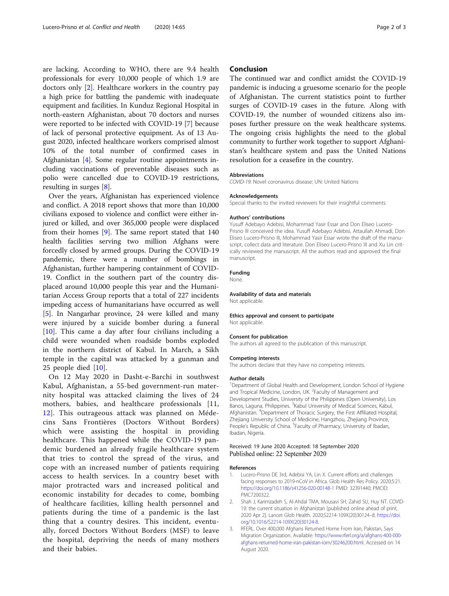<span id="page-1-0"></span>are lacking. According to WHO, there are 9.4 health professionals for every 10,000 people of which 1.9 are doctors only [2]. Healthcare workers in the country pay a high price for battling the pandemic with inadequate equipment and facilities. In Kunduz Regional Hospital in north-eastern Afghanistan, about 70 doctors and nurses were reported to be infected with COVID-19 [[7\]](#page-2-0) because of lack of personal protective equipment. As of 13 August 2020, infected healthcare workers comprised almost 10% of the total number of confirmed cases in Afghanistan [[4\]](#page-2-0). Some regular routine appointments including vaccinations of preventable diseases such as polio were cancelled due to COVID-19 restrictions, resulting in surges [[8\]](#page-2-0).

Over the years, Afghanistan has experienced violence and conflict. A 2018 report shows that more than 10,000 civilians exposed to violence and conflict were either injured or killed, and over 365,000 people were displaced from their homes [\[9](#page-2-0)]. The same report stated that 140 health facilities serving two million Afghans were forcedly closed by armed groups. During the COVID-19 pandemic, there were a number of bombings in Afghanistan, further hampering containment of COVID-19. Conflict in the southern part of the country displaced around 10,000 people this year and the Humanitarian Access Group reports that a total of 227 incidents impeding access of humanitarians have occurred as well [[5\]](#page-2-0). In Nangarhar province, 24 were killed and many were injured by a suicide bomber during a funeral [[10\]](#page-2-0). This came a day after four civilians including a child were wounded when roadside bombs exploded in the northern district of Kabul. In March, a Sikh temple in the capital was attacked by a gunman and 25 people died [[10\]](#page-2-0).

On 12 May 2020 in Dasht-e-Barchi in southwest Kabul, Afghanistan, a 55-bed government-run maternity hospital was attacked claiming the lives of 24 mothers, babies, and healthcare professionals [[11](#page-2-0), [12\]](#page-2-0). This outrageous attack was planned on Médecins Sans Frontières (Doctors Without Borders) which were assisting the hospital in providing healthcare. This happened while the COVID-19 pandemic burdened an already fragile healthcare system that tries to control the spread of the virus, and cope with an increased number of patients requiring access to health services. In a country beset with major protracted wars and increased political and economic instability for decades to come, bombing of healthcare facilities, killing health personnel and patients during the time of a pandemic is the last thing that a country desires. This incident, eventually, forced Doctors Without Borders (MSF) to leave the hospital, depriving the needs of many mothers and their babies.

### Conclusion

The continued war and conflict amidst the COVID-19 pandemic is inducing a gruesome scenario for the people of Afghanistan. The current statistics point to further surges of COVID-19 cases in the future. Along with COVID-19, the number of wounded citizens also imposes further pressure on the weak healthcare systems. The ongoing crisis highlights the need to the global community to further work together to support Afghanistan's healthcare system and pass the United Nations resolution for a ceasefire in the country.

# **Abbreviations**

COVID-19: Novel coronavirus disease; UN: United Nations

#### Acknowledgements

Special thanks to the invited reviewers for their insightful comments.

#### Authors' contributions

Yusuff Adebayo Adebisi, Mohammad Yasir Essar and Don Eliseo Lucero-Prisno III conceived the idea. Yusuff Adebayo Adebisi, Attaullah Ahmadi, Don Eliseo Lucero-Prisno III, Mohammad Yasir Essar wrote the draft of the manuscript, collect data and literature. Don Eliseo Lucero-Prisno III and Xu Lin critically reviewed the manuscript. All the authors read and approved the final manuscript.

#### Funding

None.

#### Availability of data and materials

Not applicable.

Ethics approval and consent to participate Not applicable.

#### Consent for publication

The authors all agreed to the publication of this manuscript.

#### Competing interests

The authors declare that they have no competing interests.

#### Author details

<sup>1</sup>Department of Global Health and Development, London School of Hygiene and Tropical Medicine, London, UK. <sup>2</sup> Faculty of Management and Development Studies, University of the Philippines (Open University), Los Banos, Laguna, Philippines. <sup>3</sup>Kabul University of Medical Sciences, Kabul, Afghanistan. <sup>4</sup> Department of Thoracic Surgery, the First Affiliated Hospital, Zhejiang University School of Medicine, Hangzhou, Zhejiang Province, People's Republic of China. <sup>5</sup> Faculty of Pharmacy, University of Ibadan, Ibadan, Nigeria.

### Received: 19 June 2020 Accepted: 18 September 2020 Published online: 22 September 2020

#### References

- 1. Lucero-Prisno DE 3rd, Adebisi YA, Lin X. Current efforts and challenges facing responses to 2019-nCoV in Africa. Glob Health Res Policy. 2020;5:21. <https://doi.org/10.1186/s41256-020-00148-1> PMID: 32391440; PMCID: PMC7200322.
- 2. Shah J, Karimzadeh S, Al-Ahdal TMA, Mousavi SH, Zahid SU, Huy NT. COVID-19: the current situation in Afghanistan [published online ahead of print, 2020 Apr 2]. Lancet Glob Health. 2020;S2214-109X(20)30124–8. [https://doi.](https://doi.org/10.1016/S2214-109X(20)30124-8) [org/10.1016/S2214-109X\(20\)30124-8](https://doi.org/10.1016/S2214-109X(20)30124-8).
- 3. RFERL. Over 400,000 Afghans Returned Home From Iran, Pakistan, Says Migration Organization. Available: [https://www.rferl.org/a/afghans-400-000](https://www.rferl.org/a/afghans-400-000-afghans-returned-home-iran-pakistan-iom/30246200.html) [afghans-returned-home-iran-pakistan-iom/30246200.html.](https://www.rferl.org/a/afghans-400-000-afghans-returned-home-iran-pakistan-iom/30246200.html) Accessed on 14 August 2020.